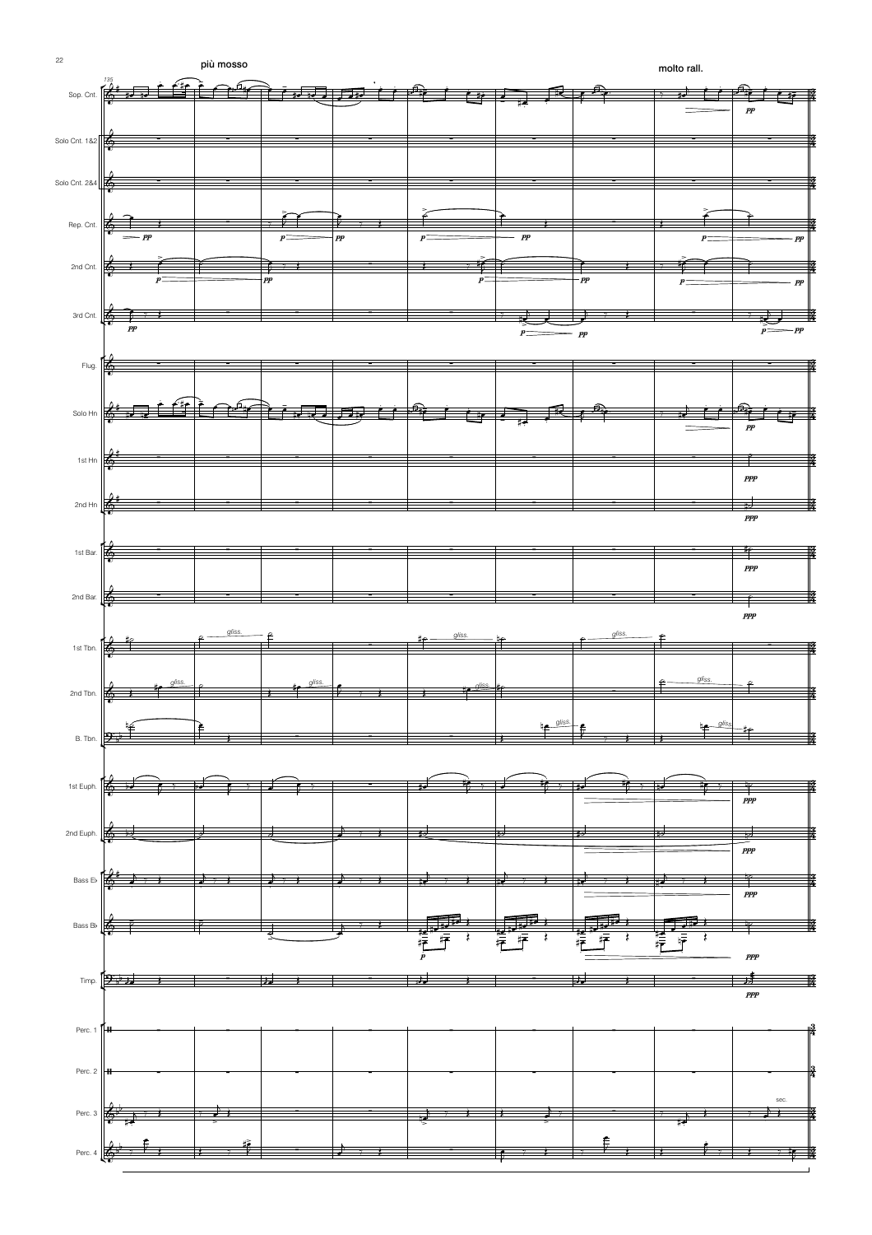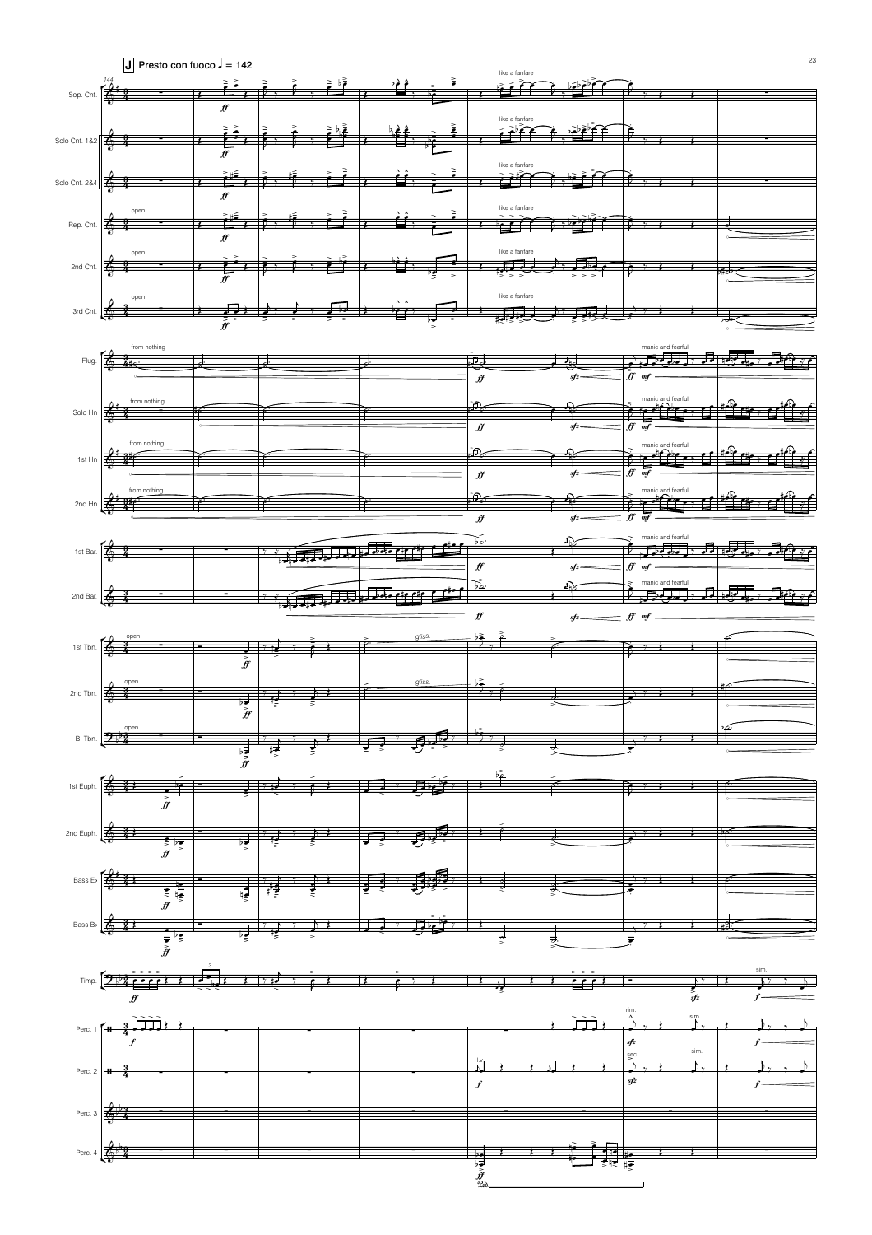